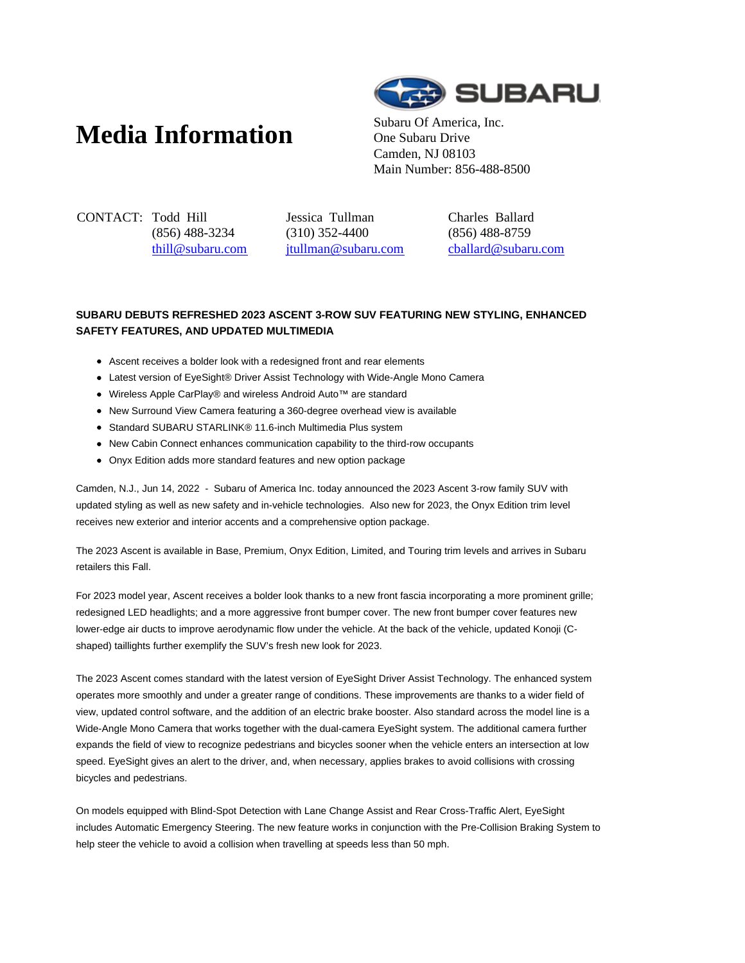# **Media Information** Subaru Of America, Inc.



One Subaru Drive Camden, NJ 08103 Main Number: 856-488-8500

CONTACT: Todd Hill (856) 488-3234 thill@subaru.com Jessica Tullman (310) 352-4400 jtullman@subaru.com Charles Ballard (856) 488-8759 cballard@subaru.com

# **SUBARU DEBUTS REFRESHED 2023 ASCENT 3-ROW SUV FEATURING NEW STYLING, ENHANCED SAFETY FEATURES, AND UPDATED MULTIMEDIA**

- Ascent receives a bolder look with a redesigned front and rear elements
- Latest version of EyeSight® Driver Assist Technology with Wide-Angle Mono Camera
- Wireless Apple CarPlay® and wireless Android Auto™ are standard
- New Surround View Camera featuring a 360-degree overhead view is available
- Standard SUBARU STARLINK® 11.6-inch Multimedia Plus system
- New Cabin Connect enhances communication capability to the third-row occupants
- Onyx Edition adds more standard features and new option package

Camden, N.J., Jun 14, 2022 - Subaru of America Inc. today announced the 2023 Ascent 3-row family SUV with updated styling as well as new safety and in-vehicle technologies. Also new for 2023, the Onyx Edition trim level receives new exterior and interior accents and a comprehensive option package.

The 2023 Ascent is available in Base, Premium, Onyx Edition, Limited, and Touring trim levels and arrives in Subaru retailers this Fall.

For 2023 model year, Ascent receives a bolder look thanks to a new front fascia incorporating a more prominent grille; redesigned LED headlights; and a more aggressive front bumper cover. The new front bumper cover features new lower-edge air ducts to improve aerodynamic flow under the vehicle. At the back of the vehicle, updated Konoji (Cshaped) taillights further exemplify the SUV's fresh new look for 2023.

The 2023 Ascent comes standard with the latest version of EyeSight Driver Assist Technology. The enhanced system operates more smoothly and under a greater range of conditions. These improvements are thanks to a wider field of view, updated control software, and the addition of an electric brake booster. Also standard across the model line is a Wide-Angle Mono Camera that works together with the dual-camera EyeSight system. The additional camera further expands the field of view to recognize pedestrians and bicycles sooner when the vehicle enters an intersection at low speed. EyeSight gives an alert to the driver, and, when necessary, applies brakes to avoid collisions with crossing bicycles and pedestrians.

On models equipped with Blind-Spot Detection with Lane Change Assist and Rear Cross-Traffic Alert, EyeSight includes Automatic Emergency Steering. The new feature works in conjunction with the Pre-Collision Braking System to help steer the vehicle to avoid a collision when travelling at speeds less than 50 mph.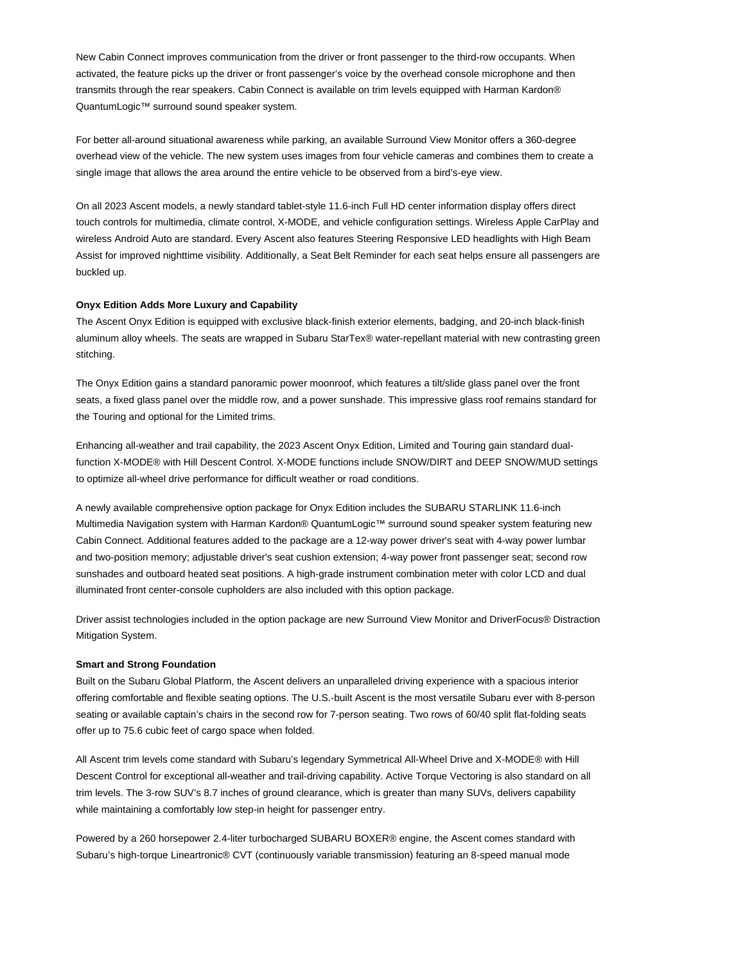New Cabin Connect improves communication from the driver or front passenger to the third-row occupants. When activated, the feature picks up the driver or front passenger's voice by the overhead console microphone and then transmits through the rear speakers. Cabin Connect is available on trim levels equipped with Harman Kardon® QuantumLogic™ surround sound speaker system.

For better all-around situational awareness while parking, an available Surround View Monitor offers a 360-degree overhead view of the vehicle. The new system uses images from four vehicle cameras and combines them to create a single image that allows the area around the entire vehicle to be observed from a bird's-eye view.

On all 2023 Ascent models, a newly standard tablet-style 11.6-inch Full HD center information display offers direct touch controls for multimedia, climate control, X-MODE, and vehicle configuration settings. Wireless Apple CarPlay and wireless Android Auto are standard. Every Ascent also features Steering Responsive LED headlights with High Beam Assist for improved nighttime visibility. Additionally, a Seat Belt Reminder for each seat helps ensure all passengers are buckled up.

# **Onyx Edition Adds More Luxury and Capability**

The Ascent Onyx Edition is equipped with exclusive black-finish exterior elements, badging, and 20-inch black-finish aluminum alloy wheels. The seats are wrapped in Subaru StarTex® water-repellant material with new contrasting green stitching.

The Onyx Edition gains a standard panoramic power moonroof, which features a tilt/slide glass panel over the front seats, a fixed glass panel over the middle row, and a power sunshade. This impressive glass roof remains standard for the Touring and optional for the Limited trims.

Enhancing all-weather and trail capability, the 2023 Ascent Onyx Edition, Limited and Touring gain standard dualfunction X-MODE® with Hill Descent Control. X-MODE functions include SNOW/DIRT and DEEP SNOW/MUD settings to optimize all-wheel drive performance for difficult weather or road conditions.

A newly available comprehensive option package for Onyx Edition includes the SUBARU STARLINK 11.6-inch Multimedia Navigation system with Harman Kardon® QuantumLogic™ surround sound speaker system featuring new Cabin Connect. Additional features added to the package are a 12-way power driver's seat with 4-way power lumbar and two-position memory; adjustable driver's seat cushion extension; 4-way power front passenger seat; second row sunshades and outboard heated seat positions. A high-grade instrument combination meter with color LCD and dual illuminated front center-console cupholders are also included with this option package.

Driver assist technologies included in the option package are new Surround View Monitor and DriverFocus® Distraction Mitigation System.

#### **Smart and Strong Foundation**

Built on the Subaru Global Platform, the Ascent delivers an unparalleled driving experience with a spacious interior offering comfortable and flexible seating options. The U.S.-built Ascent is the most versatile Subaru ever with 8-person seating or available captain's chairs in the second row for 7-person seating. Two rows of 60/40 split flat-folding seats offer up to 75.6 cubic feet of cargo space when folded.

All Ascent trim levels come standard with Subaru's legendary Symmetrical All-Wheel Drive and X-MODE® with Hill Descent Control for exceptional all-weather and trail-driving capability. Active Torque Vectoring is also standard on all trim levels. The 3-row SUV's 8.7 inches of ground clearance, which is greater than many SUVs, delivers capability while maintaining a comfortably low step-in height for passenger entry.

Powered by a 260 horsepower 2.4-liter turbocharged SUBARU BOXER® engine, the Ascent comes standard with Subaru's high-torque Lineartronic® CVT (continuously variable transmission) featuring an 8-speed manual mode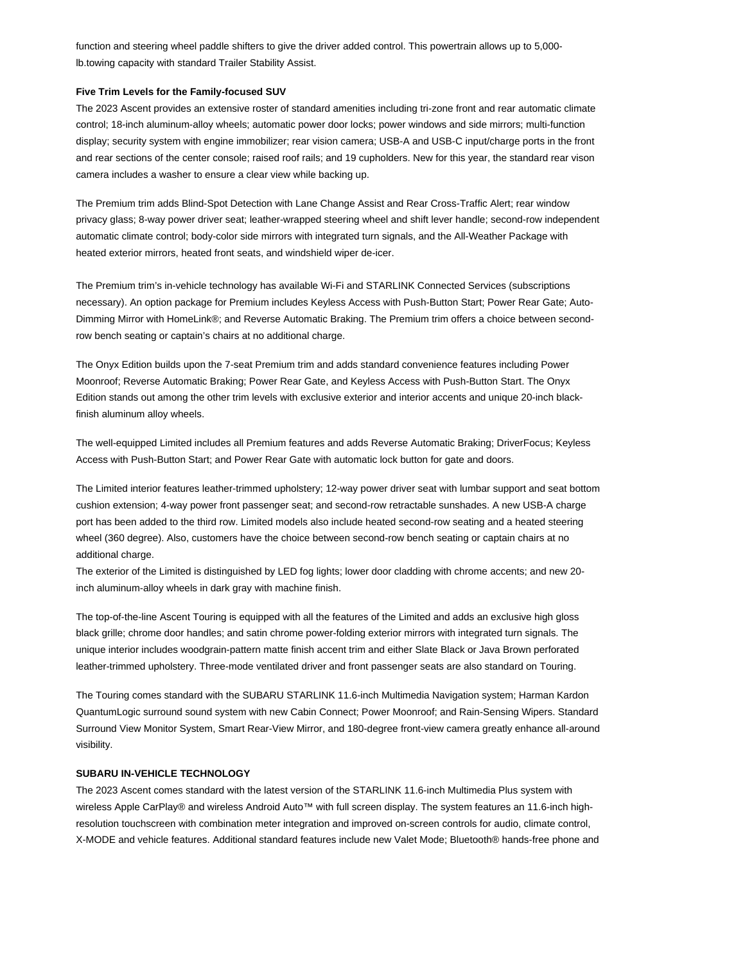function and steering wheel paddle shifters to give the driver added control. This powertrain allows up to 5,000 lb.towing capacity with standard Trailer Stability Assist.

### **Five Trim Levels for the Family-focused SUV**

The 2023 Ascent provides an extensive roster of standard amenities including tri-zone front and rear automatic climate control; 18-inch aluminum-alloy wheels; automatic power door locks; power windows and side mirrors; multi-function display; security system with engine immobilizer; rear vision camera; USB-A and USB-C input/charge ports in the front and rear sections of the center console; raised roof rails; and 19 cupholders. New for this year, the standard rear vison camera includes a washer to ensure a clear view while backing up.

The Premium trim adds Blind-Spot Detection with Lane Change Assist and Rear Cross-Traffic Alert; rear window privacy glass; 8-way power driver seat; leather-wrapped steering wheel and shift lever handle; second-row independent automatic climate control; body-color side mirrors with integrated turn signals, and the All-Weather Package with heated exterior mirrors, heated front seats, and windshield wiper de-icer.

The Premium trim's in-vehicle technology has available Wi-Fi and STARLINK Connected Services (subscriptions necessary). An option package for Premium includes Keyless Access with Push-Button Start; Power Rear Gate; Auto-Dimming Mirror with HomeLink®; and Reverse Automatic Braking. The Premium trim offers a choice between secondrow bench seating or captain's chairs at no additional charge.

The Onyx Edition builds upon the 7-seat Premium trim and adds standard convenience features including Power Moonroof; Reverse Automatic Braking; Power Rear Gate, and Keyless Access with Push-Button Start. The Onyx Edition stands out among the other trim levels with exclusive exterior and interior accents and unique 20-inch blackfinish aluminum alloy wheels.

The well-equipped Limited includes all Premium features and adds Reverse Automatic Braking; DriverFocus; Keyless Access with Push-Button Start; and Power Rear Gate with automatic lock button for gate and doors.

The Limited interior features leather-trimmed upholstery; 12-way power driver seat with lumbar support and seat bottom cushion extension; 4-way power front passenger seat; and second-row retractable sunshades. A new USB-A charge port has been added to the third row. Limited models also include heated second-row seating and a heated steering wheel (360 degree). Also, customers have the choice between second-row bench seating or captain chairs at no additional charge.

The exterior of the Limited is distinguished by LED fog lights; lower door cladding with chrome accents; and new 20 inch aluminum-alloy wheels in dark gray with machine finish.

The top-of-the-line Ascent Touring is equipped with all the features of the Limited and adds an exclusive high gloss black grille; chrome door handles; and satin chrome power-folding exterior mirrors with integrated turn signals. The unique interior includes woodgrain-pattern matte finish accent trim and either Slate Black or Java Brown perforated leather-trimmed upholstery. Three-mode ventilated driver and front passenger seats are also standard on Touring.

The Touring comes standard with the SUBARU STARLINK 11.6-inch Multimedia Navigation system; Harman Kardon QuantumLogic surround sound system with new Cabin Connect; Power Moonroof; and Rain-Sensing Wipers. Standard Surround View Monitor System, Smart Rear-View Mirror, and 180-degree front-view camera greatly enhance all-around visibility.

# **SUBARU IN-VEHICLE TECHNOLOGY**

The 2023 Ascent comes standard with the latest version of the STARLINK 11.6-inch Multimedia Plus system with wireless Apple CarPlay® and wireless Android Auto™ with full screen display. The system features an 11.6-inch highresolution touchscreen with combination meter integration and improved on-screen controls for audio, climate control, X-MODE and vehicle features. Additional standard features include new Valet Mode; Bluetooth® hands-free phone and